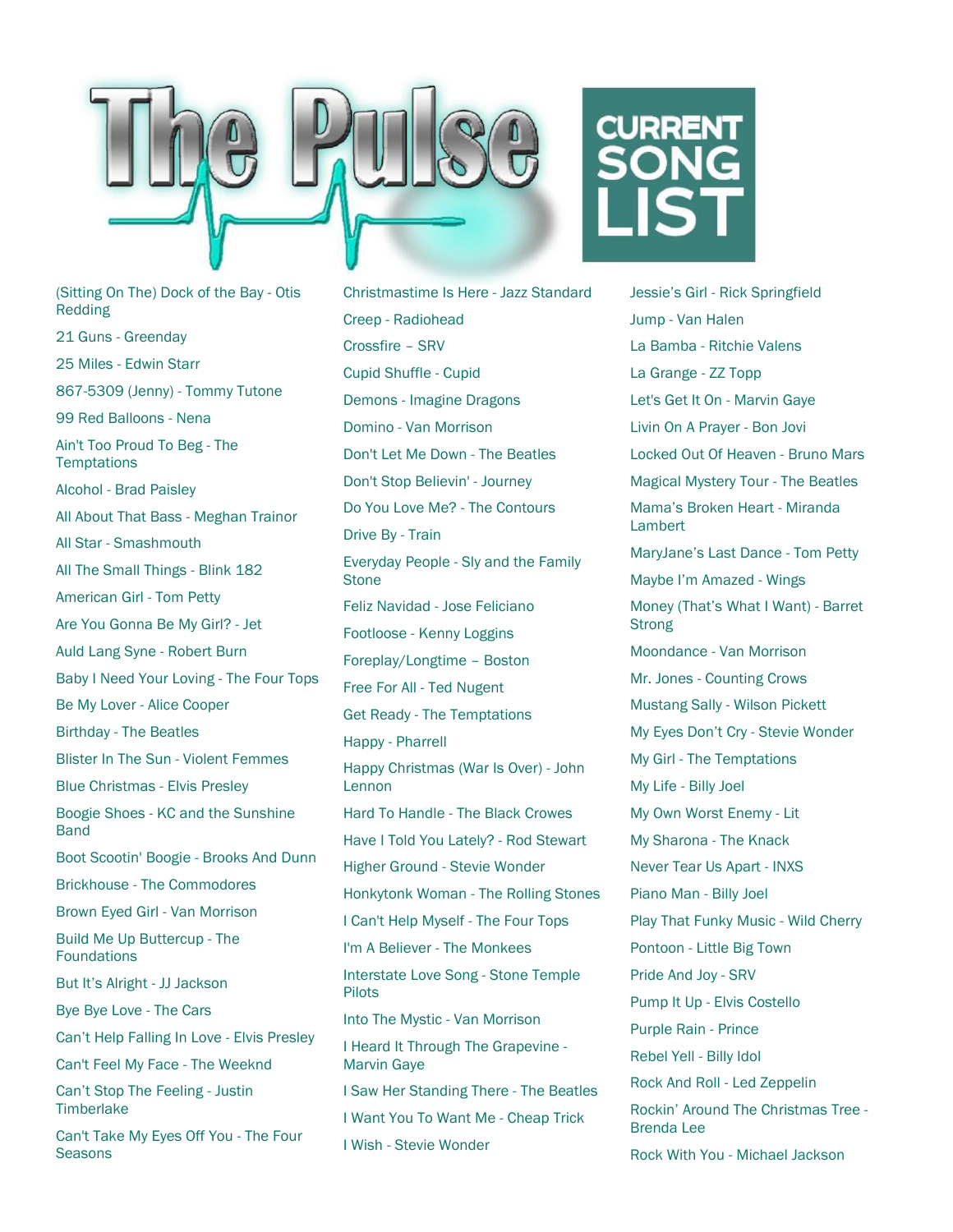

(Sitting On The) Dock of the Bay - Otis Redding 21 Guns - Greenday 25 Miles - Edwin Starr 867-5309 (Jenny) - Tommy Tutone 99 Red Balloons - Nena Ain't Too Proud To Beg - The **Temptations** Alcohol - Brad Paisley All About That Bass - Meghan Trainor All Star - Smashmouth All The Small Things - Blink 182 American Girl - Tom Petty Are You Gonna Be My Girl? - Jet Auld Lang Syne - Robert Burn Baby I Need Your Loving - The Four Tops Be My Lover - Alice Cooper Birthday - The Beatles Blister In The Sun - Violent Femmes Blue Christmas - Elvis Presley Boogie Shoes - KC and the Sunshine **Band** Boot Scootin' Boogie - Brooks And Dunn Brickhouse - The Commodores Brown Eyed Girl - Van Morrison Build Me Up Buttercup - The Foundations But It's Alright - JJ Jackson Bye Bye Love - The Cars Can't Help Falling In Love - Elvis Presley Can't Feel My Face - The Weeknd Can't Stop The Feeling - Justin **Timberlake** Can't Take My Eyes Off You - The Four **Seasons** 

Christmastime Is Here - Jazz Standard Creep - Radiohead Crossfire – SRV Cupid Shuffle - Cupid Demons - Imagine Dragons Domino - Van Morrison Don't Let Me Down - The Beatles Don't Stop Believin' - Journey Do You Love Me? - The Contours Drive By - Train Everyday People - Sly and the Family **Stone** Feliz Navidad - Jose Feliciano Footloose - Kenny Loggins Foreplay/Longtime – Boston Free For All - Ted Nugent Get Ready - The Temptations Happy - Pharrell Happy Christmas (War Is Over) - John Lennon Hard To Handle - The Black Crowes Have I Told You Lately? - Rod Stewart Higher Ground - Stevie Wonder Honkytonk Woman - The Rolling Stones I Can't Help Myself - The Four Tops I'm A Believer - The Monkees Interstate Love Song - Stone Temple Pilots Into The Mystic - Van Morrison I Heard It Through The Grapevine - Marvin Gaye I Saw Her Standing There - The Beatles I Want You To Want Me - Cheap Trick I Wish - Stevie Wonder



Jessie's Girl - Rick Springfield Jump - Van Halen La Bamba - Ritchie Valens La Grange - ZZ Topp Let's Get It On - Marvin Gaye Livin On A Prayer - Bon Jovi Locked Out Of Heaven - Bruno Mars Magical Mystery Tour - The Beatles Mama's Broken Heart - Miranda **Lambert** MaryJane's Last Dance - Tom Petty Maybe I'm Amazed - Wings Money (That's What I Want) - Barret **Strong** Moondance - Van Morrison Mr. Jones - Counting Crows Mustang Sally - Wilson Pickett My Eyes Don't Cry - Stevie Wonder My Girl - The Temptations My Life - Billy Joel My Own Worst Enemy - Lit My Sharona - The Knack Never Tear Us Apart - INXS Piano Man - Billy Joel Play That Funky Music - Wild Cherry Pontoon - Little Big Town Pride And Joy - SRV Pump It Up - Elvis Costello Purple Rain - Prince Rebel Yell - Billy Idol Rock And Roll - Led Zeppelin Rockin' Around The Christmas Tree - Brenda Lee

Rock With You - Michael Jackson